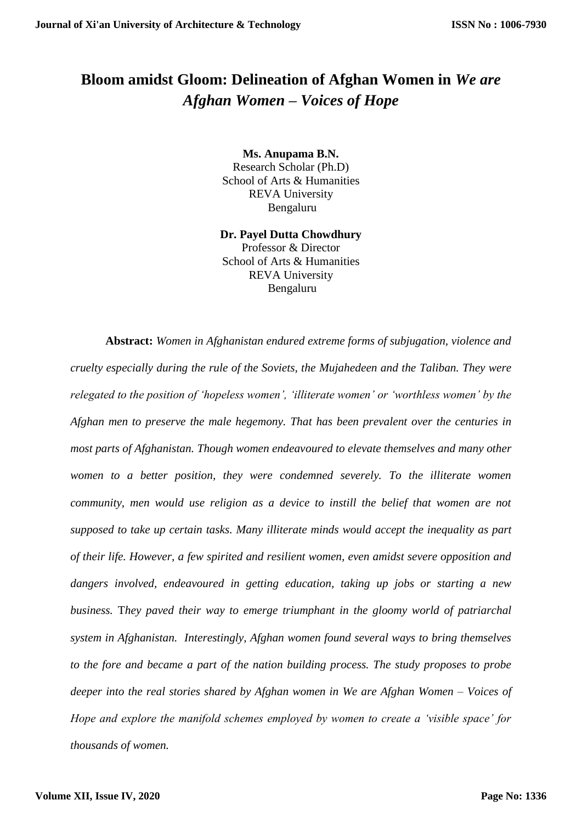## **Bloom amidst Gloom: Delineation of Afghan Women in** *We are Afghan Women – Voices of Hope*

**Ms. Anupama B.N.** Research Scholar (Ph.D) School of Arts & Humanities REVA University Bengaluru

**Dr. Payel Dutta Chowdhury** Professor & Director School of Arts & Humanities REVA University Bengaluru

**Abstract:** *Women in Afghanistan endured extreme forms of subjugation, violence and cruelty especially during the rule of the Soviets, the Mujahedeen and the Taliban. They were relegated to the position of 'hopeless women', 'illiterate women' or 'worthless women' by the Afghan men to preserve the male hegemony. That has been prevalent over the centuries in most parts of Afghanistan. Though women endeavoured to elevate themselves and many other women to a better position, they were condemned severely. To the illiterate women community, men would use religion as a device to instill the belief that women are not supposed to take up certain tasks. Many illiterate minds would accept the inequality as part of their life. However, a few spirited and resilient women, even amidst severe opposition and dangers involved, endeavoured in getting education, taking up jobs or starting a new business.* T*hey paved their way to emerge triumphant in the gloomy world of patriarchal system in Afghanistan. Interestingly, Afghan women found several ways to bring themselves to the fore and became a part of the nation building process. The study proposes to probe deeper into the real stories shared by Afghan women in We are Afghan Women – Voices of Hope and explore the manifold schemes employed by women to create a 'visible space' for thousands of women.*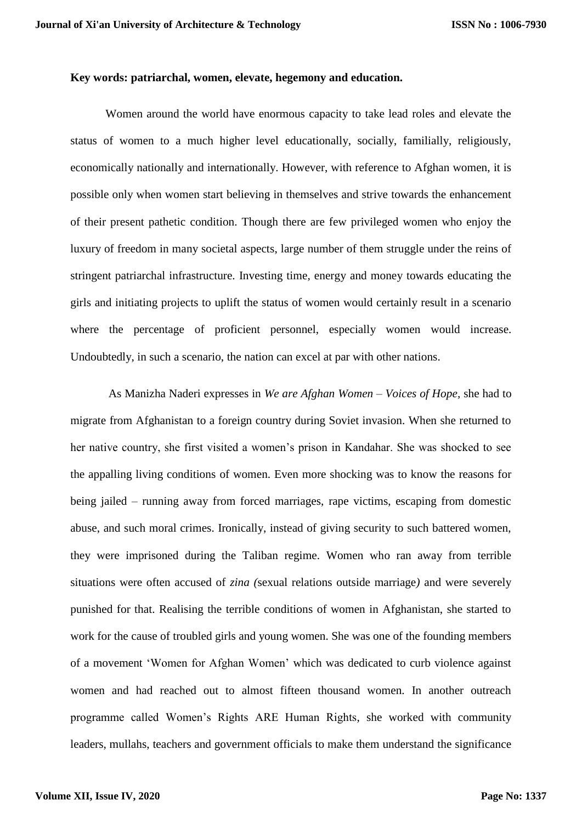## **Key words: patriarchal, women, elevate, hegemony and education.**

Women around the world have enormous capacity to take lead roles and elevate the status of women to a much higher level educationally, socially, familially, religiously, economically nationally and internationally. However, with reference to Afghan women, it is possible only when women start believing in themselves and strive towards the enhancement of their present pathetic condition. Though there are few privileged women who enjoy the luxury of freedom in many societal aspects, large number of them struggle under the reins of stringent patriarchal infrastructure. Investing time, energy and money towards educating the girls and initiating projects to uplift the status of women would certainly result in a scenario where the percentage of proficient personnel, especially women would increase. Undoubtedly, in such a scenario, the nation can excel at par with other nations.

As Manizha Naderi expresses in *We are Afghan Women – Voices of Hope,* she had to migrate from Afghanistan to a foreign country during Soviet invasion. When she returned to her native country, she first visited a women's prison in Kandahar. She was shocked to see the appalling living conditions of women. Even more shocking was to know the reasons for being jailed – running away from forced marriages, rape victims, escaping from domestic abuse, and such moral crimes. Ironically, instead of giving security to such battered women, they were imprisoned during the Taliban regime. Women who ran away from terrible situations were often accused of *zina (*sexual relations outside marriage*)* and were severely punished for that. Realising the terrible conditions of women in Afghanistan, she started to work for the cause of troubled girls and young women. She was one of the founding members of a movement 'Women for Afghan Women' which was dedicated to curb violence against women and had reached out to almost fifteen thousand women. In another outreach programme called Women's Rights ARE Human Rights, she worked with community leaders, mullahs, teachers and government officials to make them understand the significance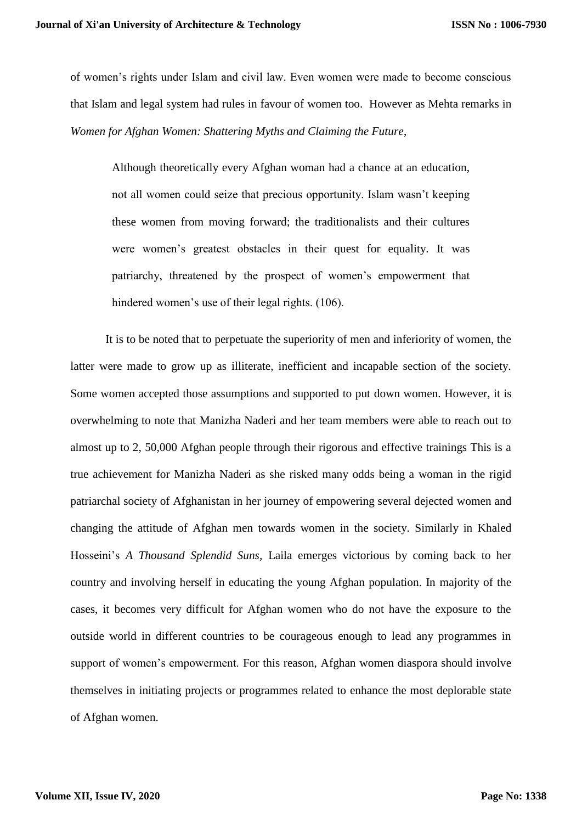of women's rights under Islam and civil law. Even women were made to become conscious that Islam and legal system had rules in favour of women too. However as Mehta remarks in *Women for Afghan Women: Shattering Myths and Claiming the Future*,

Although theoretically every Afghan woman had a chance at an education, not all women could seize that precious opportunity. Islam wasn't keeping these women from moving forward; the traditionalists and their cultures were women's greatest obstacles in their quest for equality. It was patriarchy, threatened by the prospect of women's empowerment that hindered women's use of their legal rights. (106).

It is to be noted that to perpetuate the superiority of men and inferiority of women, the latter were made to grow up as illiterate, inefficient and incapable section of the society. Some women accepted those assumptions and supported to put down women. However, it is overwhelming to note that Manizha Naderi and her team members were able to reach out to almost up to 2, 50,000 Afghan people through their rigorous and effective trainings This is a true achievement for Manizha Naderi as she risked many odds being a woman in the rigid patriarchal society of Afghanistan in her journey of empowering several dejected women and changing the attitude of Afghan men towards women in the society. Similarly in Khaled Hosseini's *A Thousand Splendid Suns,* Laila emerges victorious by coming back to her country and involving herself in educating the young Afghan population. In majority of the cases, it becomes very difficult for Afghan women who do not have the exposure to the outside world in different countries to be courageous enough to lead any programmes in support of women's empowerment. For this reason, Afghan women diaspora should involve themselves in initiating projects or programmes related to enhance the most deplorable state of Afghan women.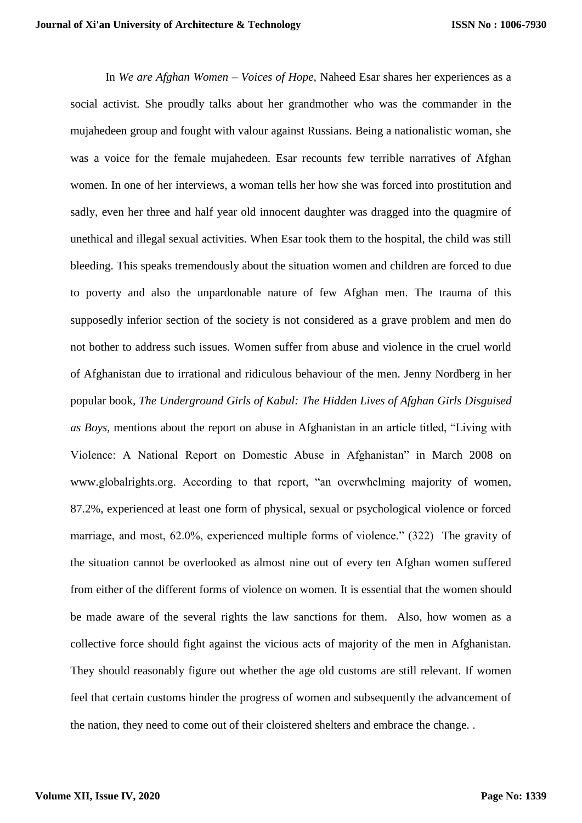In *We are Afghan Women – Voices of Hope,* Naheed Esar shares her experiences as a social activist. She proudly talks about her grandmother who was the commander in the mujahedeen group and fought with valour against Russians. Being a nationalistic woman, she was a voice for the female mujahedeen. Esar recounts few terrible narratives of Afghan women. In one of her interviews, a woman tells her how she was forced into prostitution and sadly, even her three and half year old innocent daughter was dragged into the quagmire of unethical and illegal sexual activities. When Esar took them to the hospital, the child was still bleeding. This speaks tremendously about the situation women and children are forced to due to poverty and also the unpardonable nature of few Afghan men. The trauma of this supposedly inferior section of the society is not considered as a grave problem and men do not bother to address such issues. Women suffer from abuse and violence in the cruel world of Afghanistan due to irrational and ridiculous behaviour of the men. Jenny Nordberg in her popular book, *The Underground Girls of Kabul: The Hidden Lives of Afghan Girls Disguised as Boys,* mentions about the report on abuse in Afghanistan in an article titled, "Living with Violence: A National Report on Domestic Abuse in Afghanistan" in March 2008 on www.globalrights.org. According to that report, "an overwhelming majority of women, 87.2%, experienced at least one form of physical, sexual or psychological violence or forced marriage, and most, 62.0%, experienced multiple forms of violence." (322) The gravity of the situation cannot be overlooked as almost nine out of every ten Afghan women suffered from either of the different forms of violence on women. It is essential that the women should be made aware of the several rights the law sanctions for them. Also, how women as a collective force should fight against the vicious acts of majority of the men in Afghanistan. They should reasonably figure out whether the age old customs are still relevant. If women feel that certain customs hinder the progress of women and subsequently the advancement of the nation, they need to come out of their cloistered shelters and embrace the change. .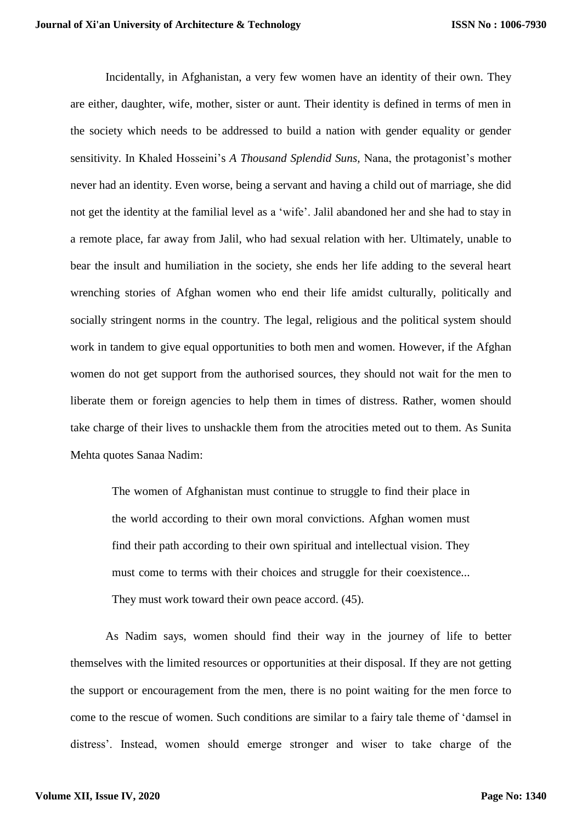Incidentally, in Afghanistan, a very few women have an identity of their own. They are either, daughter, wife, mother, sister or aunt. Their identity is defined in terms of men in the society which needs to be addressed to build a nation with gender equality or gender sensitivity. In Khaled Hosseini's *A Thousand Splendid Suns,* Nana, the protagonist's mother never had an identity. Even worse, being a servant and having a child out of marriage, she did not get the identity at the familial level as a 'wife'. Jalil abandoned her and she had to stay in a remote place, far away from Jalil, who had sexual relation with her. Ultimately, unable to bear the insult and humiliation in the society, she ends her life adding to the several heart wrenching stories of Afghan women who end their life amidst culturally, politically and socially stringent norms in the country. The legal, religious and the political system should work in tandem to give equal opportunities to both men and women. However, if the Afghan women do not get support from the authorised sources, they should not wait for the men to liberate them or foreign agencies to help them in times of distress. Rather, women should take charge of their lives to unshackle them from the atrocities meted out to them. As Sunita Mehta quotes Sanaa Nadim:

The women of Afghanistan must continue to struggle to find their place in the world according to their own moral convictions. Afghan women must find their path according to their own spiritual and intellectual vision. They must come to terms with their choices and struggle for their coexistence... They must work toward their own peace accord. (45).

As Nadim says, women should find their way in the journey of life to better themselves with the limited resources or opportunities at their disposal. If they are not getting the support or encouragement from the men, there is no point waiting for the men force to come to the rescue of women. Such conditions are similar to a fairy tale theme of 'damsel in distress'. Instead, women should emerge stronger and wiser to take charge of the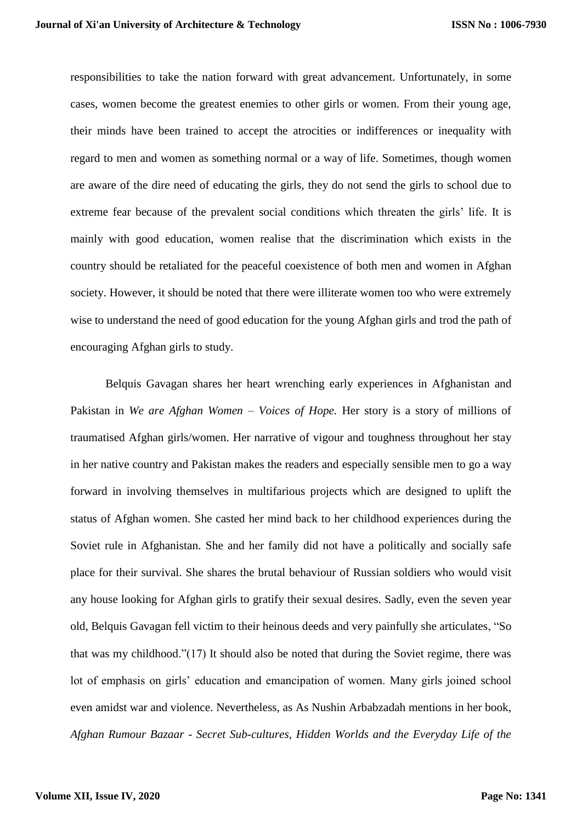responsibilities to take the nation forward with great advancement. Unfortunately, in some cases, women become the greatest enemies to other girls or women. From their young age, their minds have been trained to accept the atrocities or indifferences or inequality with regard to men and women as something normal or a way of life. Sometimes, though women are aware of the dire need of educating the girls, they do not send the girls to school due to extreme fear because of the prevalent social conditions which threaten the girls' life. It is mainly with good education, women realise that the discrimination which exists in the country should be retaliated for the peaceful coexistence of both men and women in Afghan society. However, it should be noted that there were illiterate women too who were extremely wise to understand the need of good education for the young Afghan girls and trod the path of encouraging Afghan girls to study.

Belquis Gavagan shares her heart wrenching early experiences in Afghanistan and Pakistan in *We are Afghan Women – Voices of Hope.* Her story is a story of millions of traumatised Afghan girls/women. Her narrative of vigour and toughness throughout her stay in her native country and Pakistan makes the readers and especially sensible men to go a way forward in involving themselves in multifarious projects which are designed to uplift the status of Afghan women. She casted her mind back to her childhood experiences during the Soviet rule in Afghanistan. She and her family did not have a politically and socially safe place for their survival. She shares the brutal behaviour of Russian soldiers who would visit any house looking for Afghan girls to gratify their sexual desires. Sadly, even the seven year old, Belquis Gavagan fell victim to their heinous deeds and very painfully she articulates, "So that was my childhood."(17) It should also be noted that during the Soviet regime, there was lot of emphasis on girls' education and emancipation of women. Many girls joined school even amidst war and violence. Nevertheless, as As Nushin Arbabzadah mentions in her book, *Afghan Rumour Bazaar - Secret Sub-cultures, Hidden Worlds and the Everyday Life of the*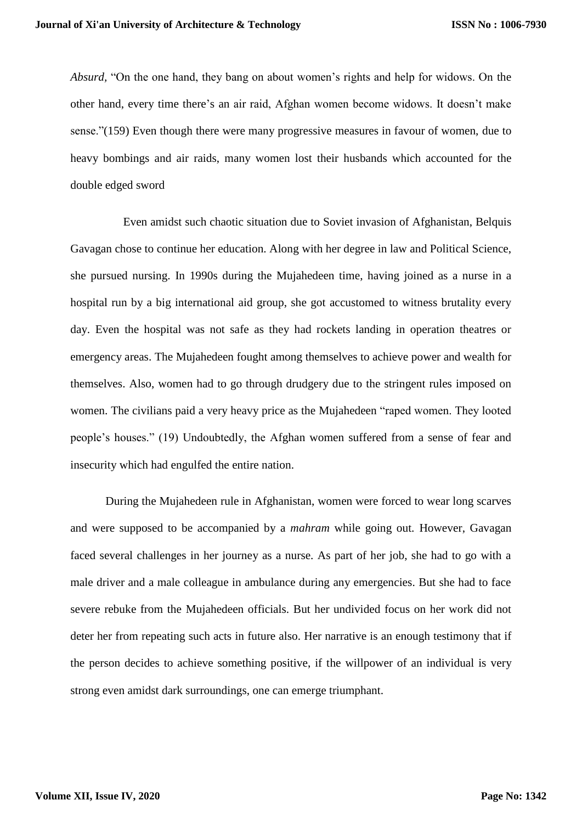*Absurd,* "On the one hand, they bang on about women's rights and help for widows. On the other hand, every time there's an air raid, Afghan women become widows. It doesn't make sense."(159) Even though there were many progressive measures in favour of women, due to heavy bombings and air raids, many women lost their husbands which accounted for the double edged sword

 Even amidst such chaotic situation due to Soviet invasion of Afghanistan, Belquis Gavagan chose to continue her education. Along with her degree in law and Political Science, she pursued nursing. In 1990s during the Mujahedeen time, having joined as a nurse in a hospital run by a big international aid group, she got accustomed to witness brutality every day. Even the hospital was not safe as they had rockets landing in operation theatres or emergency areas. The Mujahedeen fought among themselves to achieve power and wealth for themselves. Also, women had to go through drudgery due to the stringent rules imposed on women. The civilians paid a very heavy price as the Mujahedeen "raped women. They looted people's houses." (19) Undoubtedly, the Afghan women suffered from a sense of fear and insecurity which had engulfed the entire nation.

During the Mujahedeen rule in Afghanistan, women were forced to wear long scarves and were supposed to be accompanied by a *mahram* while going out. However, Gavagan faced several challenges in her journey as a nurse. As part of her job, she had to go with a male driver and a male colleague in ambulance during any emergencies. But she had to face severe rebuke from the Mujahedeen officials. But her undivided focus on her work did not deter her from repeating such acts in future also. Her narrative is an enough testimony that if the person decides to achieve something positive, if the willpower of an individual is very strong even amidst dark surroundings, one can emerge triumphant.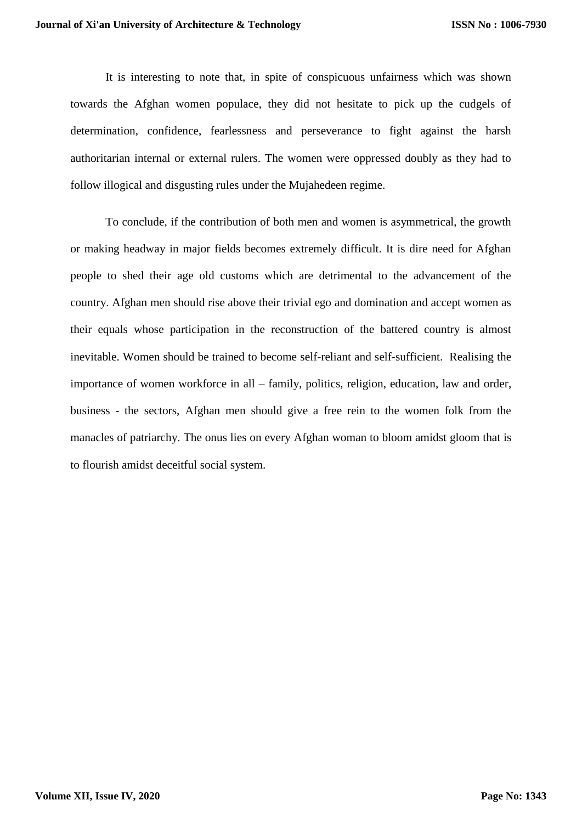It is interesting to note that, in spite of conspicuous unfairness which was shown towards the Afghan women populace, they did not hesitate to pick up the cudgels of determination, confidence, fearlessness and perseverance to fight against the harsh authoritarian internal or external rulers. The women were oppressed doubly as they had to follow illogical and disgusting rules under the Mujahedeen regime.

To conclude, if the contribution of both men and women is asymmetrical, the growth or making headway in major fields becomes extremely difficult. It is dire need for Afghan people to shed their age old customs which are detrimental to the advancement of the country. Afghan men should rise above their trivial ego and domination and accept women as their equals whose participation in the reconstruction of the battered country is almost inevitable. Women should be trained to become self-reliant and self-sufficient. Realising the importance of women workforce in all – family, politics, religion, education, law and order, business - the sectors, Afghan men should give a free rein to the women folk from the manacles of patriarchy. The onus lies on every Afghan woman to bloom amidst gloom that is to flourish amidst deceitful social system.